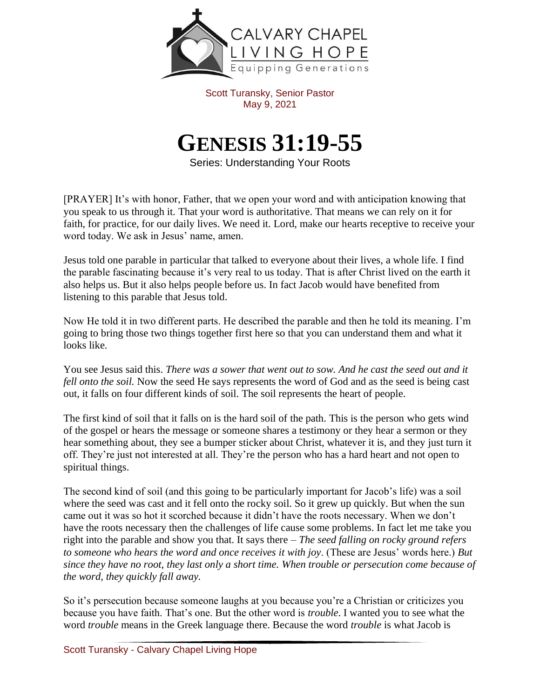

Scott Turansky, Senior Pastor May 9, 2021

## **GENESIS 31:19-55**

Series: Understanding Your Roots

[PRAYER] It's with honor, Father, that we open your word and with anticipation knowing that you speak to us through it. That your word is authoritative. That means we can rely on it for faith, for practice, for our daily lives. We need it. Lord, make our hearts receptive to receive your word today. We ask in Jesus' name, amen.

Jesus told one parable in particular that talked to everyone about their lives, a whole life. I find the parable fascinating because it's very real to us today. That is after Christ lived on the earth it also helps us. But it also helps people before us. In fact Jacob would have benefited from listening to this parable that Jesus told.

Now He told it in two different parts. He described the parable and then he told its meaning. I'm going to bring those two things together first here so that you can understand them and what it looks like.

You see Jesus said this. *There was a sower that went out to sow. And he cast the seed out and it fell onto the soil.* Now the seed He says represents the word of God and as the seed is being cast out, it falls on four different kinds of soil. The soil represents the heart of people.

The first kind of soil that it falls on is the hard soil of the path. This is the person who gets wind of the gospel or hears the message or someone shares a testimony or they hear a sermon or they hear something about, they see a bumper sticker about Christ, whatever it is, and they just turn it off. They're just not interested at all. They're the person who has a hard heart and not open to spiritual things.

The second kind of soil (and this going to be particularly important for Jacob's life) was a soil where the seed was cast and it fell onto the rocky soil. So it grew up quickly. But when the sun came out it was so hot it scorched because it didn't have the roots necessary. When we don't have the roots necessary then the challenges of life cause some problems. In fact let me take you right into the parable and show you that. It says there – *The seed falling on rocky ground refers to someone who hears the word and once receives it with joy*. (These are Jesus' words here.) *But since they have no root, they last only a short time. When trouble or persecution come because of the word, they quickly fall away.* 

So it's persecution because someone laughs at you because you're a Christian or criticizes you because you have faith. That's one. But the other word is *trouble*. I wanted you to see what the word *trouble* means in the Greek language there. Because the word *trouble* is what Jacob is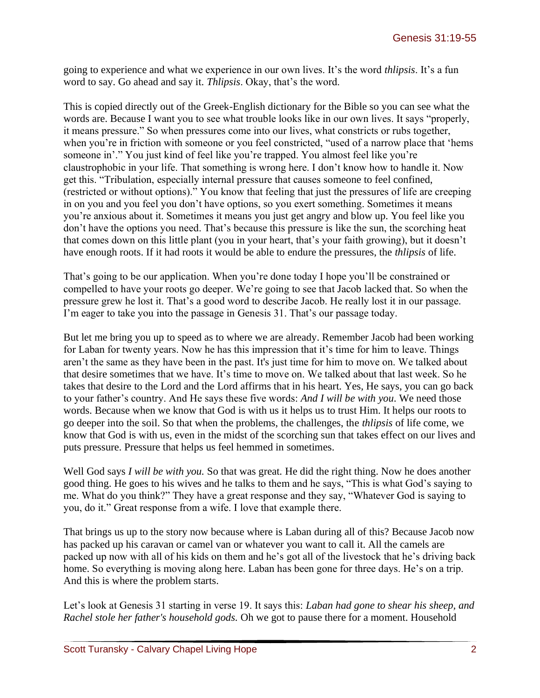going to experience and what we experience in our own lives. It's the word *thlipsis*. It's a fun word to say. Go ahead and say it. *Thlipsis*. Okay, that's the word.

This is copied directly out of the Greek-English dictionary for the Bible so you can see what the words are. Because I want you to see what trouble looks like in our own lives. It says "properly, it means pressure." So when pressures come into our lives, what constricts or rubs together, when you're in friction with someone or you feel constricted, "used of a narrow place that 'hems someone in'." You just kind of feel like you're trapped. You almost feel like you're claustrophobic in your life. That something is wrong here. I don't know how to handle it. Now get this. "Tribulation, especially internal pressure that causes someone to feel confined, (restricted or without options)." You know that feeling that just the pressures of life are creeping in on you and you feel you don't have options, so you exert something. Sometimes it means you're anxious about it. Sometimes it means you just get angry and blow up. You feel like you don't have the options you need. That's because this pressure is like the sun, the scorching heat that comes down on this little plant (you in your heart, that's your faith growing), but it doesn't have enough roots. If it had roots it would be able to endure the pressures, the *thlipsis* of life.

That's going to be our application. When you're done today I hope you'll be constrained or compelled to have your roots go deeper. We're going to see that Jacob lacked that. So when the pressure grew he lost it. That's a good word to describe Jacob. He really lost it in our passage. I'm eager to take you into the passage in Genesis 31. That's our passage today.

But let me bring you up to speed as to where we are already. Remember Jacob had been working for Laban for twenty years. Now he has this impression that it's time for him to leave. Things aren't the same as they have been in the past. It's just time for him to move on. We talked about that desire sometimes that we have. It's time to move on. We talked about that last week. So he takes that desire to the Lord and the Lord affirms that in his heart. Yes, He says, you can go back to your father's country. And He says these five words: *And I will be with you*. We need those words. Because when we know that God is with us it helps us to trust Him. It helps our roots to go deeper into the soil. So that when the problems, the challenges, the *thlipsis* of life come, we know that God is with us, even in the midst of the scorching sun that takes effect on our lives and puts pressure. Pressure that helps us feel hemmed in sometimes.

Well God says *I will be with you*. So that was great. He did the right thing. Now he does another good thing. He goes to his wives and he talks to them and he says, "This is what God's saying to me. What do you think?" They have a great response and they say, "Whatever God is saying to you, do it." Great response from a wife. I love that example there.

That brings us up to the story now because where is Laban during all of this? Because Jacob now has packed up his caravan or camel van or whatever you want to call it. All the camels are packed up now with all of his kids on them and he's got all of the livestock that he's driving back home. So everything is moving along here. Laban has been gone for three days. He's on a trip. And this is where the problem starts.

Let's look at Genesis 31 starting in verse 19. It says this: *Laban had gone to shear his sheep, and Rachel stole her father's household gods.* Oh we got to pause there for a moment. Household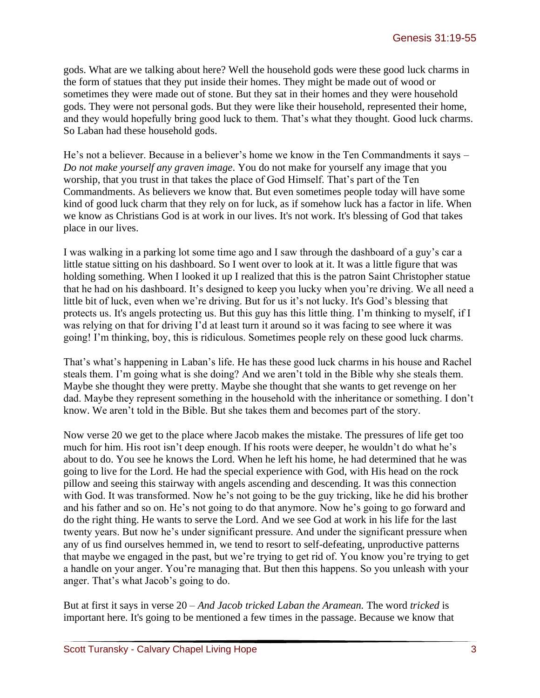gods. What are we talking about here? Well the household gods were these good luck charms in the form of statues that they put inside their homes. They might be made out of wood or sometimes they were made out of stone. But they sat in their homes and they were household gods. They were not personal gods. But they were like their household, represented their home, and they would hopefully bring good luck to them. That's what they thought. Good luck charms. So Laban had these household gods.

He's not a believer. Because in a believer's home we know in the Ten Commandments it says – *Do not make yourself any graven image*. You do not make for yourself any image that you worship, that you trust in that takes the place of God Himself. That's part of the Ten Commandments. As believers we know that. But even sometimes people today will have some kind of good luck charm that they rely on for luck, as if somehow luck has a factor in life. When we know as Christians God is at work in our lives. It's not work. It's blessing of God that takes place in our lives.

I was walking in a parking lot some time ago and I saw through the dashboard of a guy's car a little statue sitting on his dashboard. So I went over to look at it. It was a little figure that was holding something. When I looked it up I realized that this is the patron Saint Christopher statue that he had on his dashboard. It's designed to keep you lucky when you're driving. We all need a little bit of luck, even when we're driving. But for us it's not lucky. It's God's blessing that protects us. It's angels protecting us. But this guy has this little thing. I'm thinking to myself, if I was relying on that for driving I'd at least turn it around so it was facing to see where it was going! I'm thinking, boy, this is ridiculous. Sometimes people rely on these good luck charms.

That's what's happening in Laban's life. He has these good luck charms in his house and Rachel steals them. I'm going what is she doing? And we aren't told in the Bible why she steals them. Maybe she thought they were pretty. Maybe she thought that she wants to get revenge on her dad. Maybe they represent something in the household with the inheritance or something. I don't know. We aren't told in the Bible. But she takes them and becomes part of the story.

Now verse 20 we get to the place where Jacob makes the mistake. The pressures of life get too much for him. His root isn't deep enough. If his roots were deeper, he wouldn't do what he's about to do. You see he knows the Lord. When he left his home, he had determined that he was going to live for the Lord. He had the special experience with God, with His head on the rock pillow and seeing this stairway with angels ascending and descending. It was this connection with God. It was transformed. Now he's not going to be the guy tricking, like he did his brother and his father and so on. He's not going to do that anymore. Now he's going to go forward and do the right thing. He wants to serve the Lord. And we see God at work in his life for the last twenty years. But now he's under significant pressure. And under the significant pressure when any of us find ourselves hemmed in, we tend to resort to self-defeating, unproductive patterns that maybe we engaged in the past, but we're trying to get rid of. You know you're trying to get a handle on your anger. You're managing that. But then this happens. So you unleash with your anger. That's what Jacob's going to do.

But at first it says in verse 20 – *And Jacob tricked Laban the Aramean.* The word *tricked* is important here. It's going to be mentioned a few times in the passage. Because we know that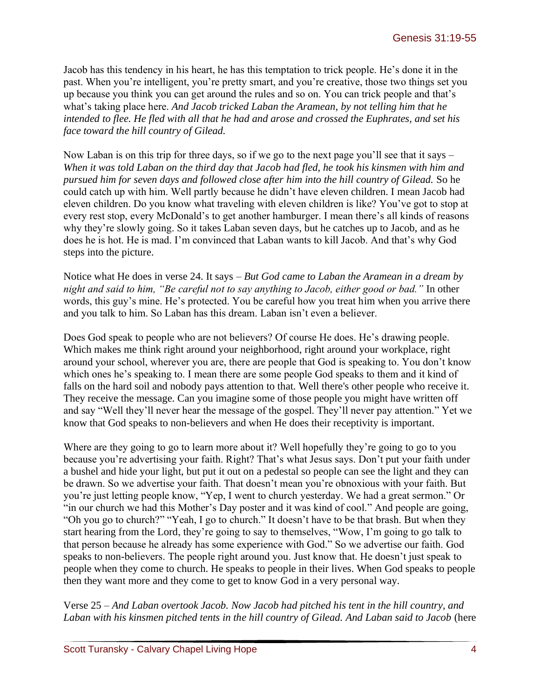Jacob has this tendency in his heart, he has this temptation to trick people. He's done it in the past. When you're intelligent, you're pretty smart, and you're creative, those two things set you up because you think you can get around the rules and so on. You can trick people and that's what's taking place here. *And Jacob tricked Laban the Aramean, by not telling him that he intended to flee. He fled with all that he had and arose and crossed the Euphrates, and set his face toward the hill country of Gilead.*

Now Laban is on this trip for three days, so if we go to the next page you'll see that it says – *When it was told Laban on the third day that Jacob had fled, he took his kinsmen with him and pursued him for seven days and followed close after him into the hill country of Gilead.* So he could catch up with him. Well partly because he didn't have eleven children. I mean Jacob had eleven children. Do you know what traveling with eleven children is like? You've got to stop at every rest stop, every McDonald's to get another hamburger. I mean there's all kinds of reasons why they're slowly going. So it takes Laban seven days, but he catches up to Jacob, and as he does he is hot. He is mad. I'm convinced that Laban wants to kill Jacob. And that's why God steps into the picture.

Notice what He does in verse 24. It says – *But God came to Laban the Aramean in a dream by night and said to him, "Be careful not to say anything to Jacob, either good or bad."* In other words, this guy's mine. He's protected. You be careful how you treat him when you arrive there and you talk to him. So Laban has this dream. Laban isn't even a believer.

Does God speak to people who are not believers? Of course He does. He's drawing people. Which makes me think right around your neighborhood, right around your workplace, right around your school, wherever you are, there are people that God is speaking to. You don't know which ones he's speaking to. I mean there are some people God speaks to them and it kind of falls on the hard soil and nobody pays attention to that. Well there's other people who receive it. They receive the message. Can you imagine some of those people you might have written off and say "Well they'll never hear the message of the gospel. They'll never pay attention." Yet we know that God speaks to non-believers and when He does their receptivity is important.

Where are they going to go to learn more about it? Well hopefully they're going to go to you because you're advertising your faith. Right? That's what Jesus says. Don't put your faith under a bushel and hide your light, but put it out on a pedestal so people can see the light and they can be drawn. So we advertise your faith. That doesn't mean you're obnoxious with your faith. But you're just letting people know, "Yep, I went to church yesterday. We had a great sermon." Or "in our church we had this Mother's Day poster and it was kind of cool." And people are going, "Oh you go to church?" "Yeah, I go to church." It doesn't have to be that brash. But when they start hearing from the Lord, they're going to say to themselves, "Wow, I'm going to go talk to that person because he already has some experience with God." So we advertise our faith. God speaks to non-believers. The people right around you. Just know that. He doesn't just speak to people when they come to church. He speaks to people in their lives. When God speaks to people then they want more and they come to get to know God in a very personal way.

Verse 25 – *And Laban overtook Jacob. Now Jacob had pitched his tent in the hill country, and Laban with his kinsmen pitched tents in the hill country of Gilead. And Laban said to Jacob* (here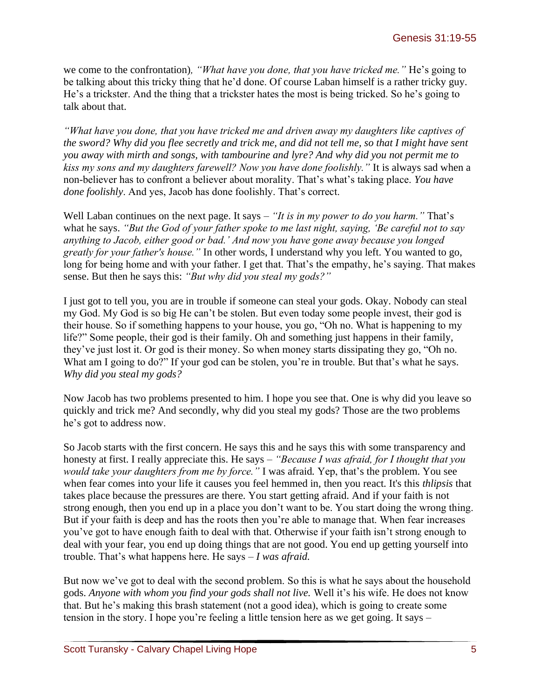we come to the confrontation)*, "What have you done, that you have tricked me."* He's going to be talking about this tricky thing that he'd done. Of course Laban himself is a rather tricky guy. He's a trickster. And the thing that a trickster hates the most is being tricked. So he's going to talk about that.

*"What have you done, that you have tricked me and driven away my daughters like captives of the sword? Why did you flee secretly and trick me, and did not tell me, so that I might have sent you away with mirth and songs, with tambourine and lyre? And why did you not permit me to kiss my sons and my daughters farewell? Now you have done foolishly."* It is always sad when a non-believer has to confront a believer about morality. That's what's taking place. *You have done foolishly*. And yes, Jacob has done foolishly. That's correct.

Well Laban continues on the next page. It says – *"It is in my power to do you harm."* That's what he says. *"But the God of your father spoke to me last night, saying, 'Be careful not to say anything to Jacob, either good or bad.' And now you have gone away because you longed greatly for your father's house."* In other words, I understand why you left. You wanted to go, long for being home and with your father. I get that. That's the empathy, he's saying. That makes sense. But then he says this: *"But why did you steal my gods?"* 

I just got to tell you, you are in trouble if someone can steal your gods. Okay. Nobody can steal my God. My God is so big He can't be stolen. But even today some people invest, their god is their house. So if something happens to your house, you go, "Oh no. What is happening to my life?" Some people, their god is their family. Oh and something just happens in their family, they've just lost it. Or god is their money. So when money starts dissipating they go, "Oh no. What am I going to do?" If your god can be stolen, you're in trouble. But that's what he says. *Why did you steal my gods?*

Now Jacob has two problems presented to him. I hope you see that. One is why did you leave so quickly and trick me? And secondly, why did you steal my gods? Those are the two problems he's got to address now.

So Jacob starts with the first concern. He says this and he says this with some transparency and honesty at first. I really appreciate this. He says – *"Because I was afraid, for I thought that you would take your daughters from me by force."* I was afraid*.* Yep, that's the problem. You see when fear comes into your life it causes you feel hemmed in, then you react. It's this *thlipsis* that takes place because the pressures are there. You start getting afraid. And if your faith is not strong enough, then you end up in a place you don't want to be. You start doing the wrong thing. But if your faith is deep and has the roots then you're able to manage that. When fear increases you've got to have enough faith to deal with that. Otherwise if your faith isn't strong enough to deal with your fear, you end up doing things that are not good. You end up getting yourself into trouble. That's what happens here. He says – *I was afraid.*

But now we've got to deal with the second problem. So this is what he says about the household gods. *Anyone with whom you find your gods shall not live.* Well it's his wife. He does not know that. But he's making this brash statement (not a good idea), which is going to create some tension in the story. I hope you're feeling a little tension here as we get going. It says –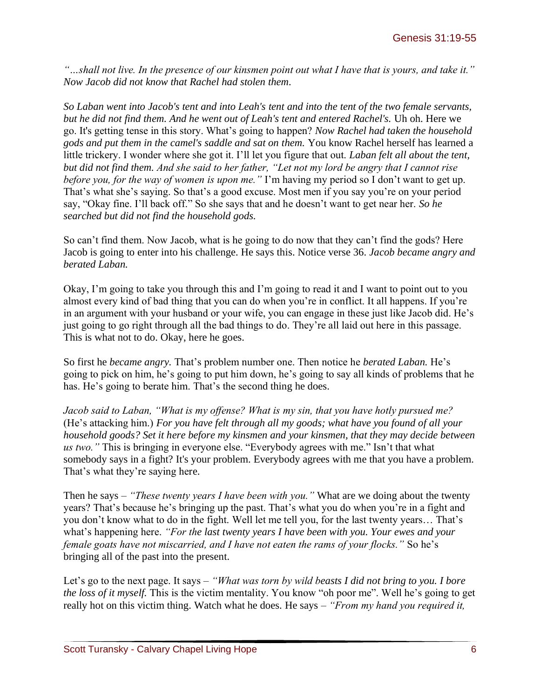*"…shall not live. In the presence of our kinsmen point out what I have that is yours, and take it." Now Jacob did not know that Rachel had stolen them.*

*So Laban went into Jacob's tent and into Leah's tent and into the tent of the two female servants, but he did not find them. And he went out of Leah's tent and entered Rachel's.* Uh oh. Here we go. It's getting tense in this story. What's going to happen? *Now Rachel had taken the household gods and put them in the camel's saddle and sat on them.* You know Rachel herself has learned a little trickery. I wonder where she got it. I'll let you figure that out. *Laban felt all about the tent, but did not find them. And she said to her father, "Let not my lord be angry that I cannot rise before you, for the way of women is upon me."* I'm having my period so I don't want to get up. That's what she's saying. So that's a good excuse. Most men if you say you're on your period say, "Okay fine. I'll back off." So she says that and he doesn't want to get near her. *So he searched but did not find the household gods.*

So can't find them. Now Jacob, what is he going to do now that they can't find the gods? Here Jacob is going to enter into his challenge. He says this. Notice verse 36. *Jacob became angry and berated Laban.* 

Okay, I'm going to take you through this and I'm going to read it and I want to point out to you almost every kind of bad thing that you can do when you're in conflict. It all happens. If you're in an argument with your husband or your wife, you can engage in these just like Jacob did. He's just going to go right through all the bad things to do. They're all laid out here in this passage. This is what not to do. Okay, here he goes.

So first he *became angry.* That's problem number one. Then notice he *berated Laban.* He's going to pick on him, he's going to put him down, he's going to say all kinds of problems that he has. He's going to berate him. That's the second thing he does.

*Jacob said to Laban, "What is my offense? What is my sin, that you have hotly pursued me?*  (He's attacking him.) *For you have felt through all my goods; what have you found of all your household goods? Set it here before my kinsmen and your kinsmen, that they may decide between us two."* This is bringing in everyone else. "Everybody agrees with me." Isn't that what somebody says in a fight? It's your problem. Everybody agrees with me that you have a problem. That's what they're saying here.

Then he says – *"These twenty years I have been with you."* What are we doing about the twenty years? That's because he's bringing up the past. That's what you do when you're in a fight and you don't know what to do in the fight. Well let me tell you, for the last twenty years… That's what's happening here. *"For the last twenty years I have been with you. Your ewes and your female goats have not miscarried, and I have not eaten the rams of your flocks."* So he's bringing all of the past into the present.

Let's go to the next page. It says – *"What was torn by wild beasts I did not bring to you. I bore the loss of it myself.* This is the victim mentality. You know "oh poor me". Well he's going to get really hot on this victim thing. Watch what he does. He says – *"From my hand you required it,*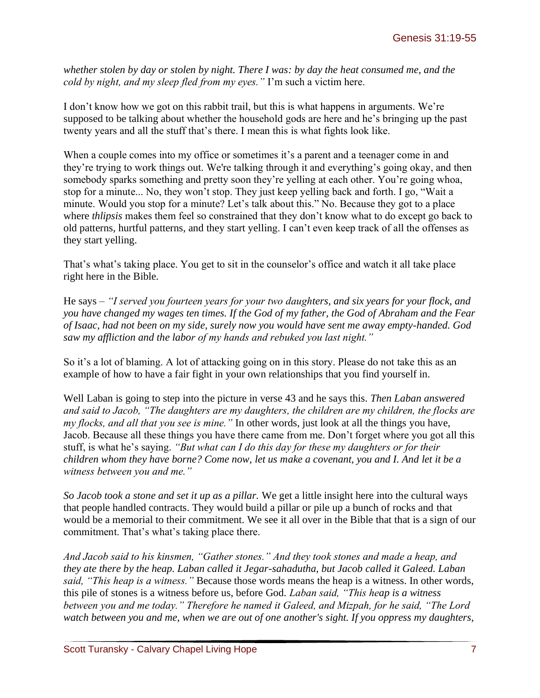*whether stolen by day or stolen by night. There I was: by day the heat consumed me, and the cold by night, and my sleep fled from my eyes."* I'm such a victim here.

I don't know how we got on this rabbit trail, but this is what happens in arguments. We're supposed to be talking about whether the household gods are here and he's bringing up the past twenty years and all the stuff that's there. I mean this is what fights look like.

When a couple comes into my office or sometimes it's a parent and a teenager come in and they're trying to work things out. We're talking through it and everything's going okay, and then somebody sparks something and pretty soon they're yelling at each other. You're going whoa, stop for a minute... No, they won't stop. They just keep yelling back and forth. I go, "Wait a minute. Would you stop for a minute? Let's talk about this." No. Because they got to a place where *thlipsis* makes them feel so constrained that they don't know what to do except go back to old patterns, hurtful patterns, and they start yelling. I can't even keep track of all the offenses as they start yelling.

That's what's taking place. You get to sit in the counselor's office and watch it all take place right here in the Bible.

He says – *"I served you fourteen years for your two daughters, and six years for your flock, and you have changed my wages ten times. If the God of my father, the God of Abraham and the Fear of Isaac, had not been on my side, surely now you would have sent me away empty-handed. God saw my affliction and the labor of my hands and rebuked you last night."* 

So it's a lot of blaming. A lot of attacking going on in this story. Please do not take this as an example of how to have a fair fight in your own relationships that you find yourself in.

Well Laban is going to step into the picture in verse 43 and he says this. *Then Laban answered and said to Jacob, "The daughters are my daughters, the children are my children, the flocks are my flocks, and all that you see is mine."* In other words, just look at all the things you have, Jacob. Because all these things you have there came from me. Don't forget where you got all this stuff, is what he's saying. *"But what can I do this day for these my daughters or for their children whom they have borne? Come now, let us make a covenant, you and I. And let it be a witness between you and me."* 

*So Jacob took a stone and set it up as a pillar.* We get a little insight here into the cultural ways that people handled contracts. They would build a pillar or pile up a bunch of rocks and that would be a memorial to their commitment. We see it all over in the Bible that that is a sign of our commitment. That's what's taking place there.

*And Jacob said to his kinsmen, "Gather stones." And they took stones and made a heap, and they ate there by the heap. Laban called it Jegar-sahadutha, but Jacob called it Galeed. Laban said, "This heap is a witness."* Because those words means the heap is a witness. In other words, this pile of stones is a witness before us, before God. *Laban said, "This heap is a witness between you and me today." Therefore he named it Galeed, and Mizpah, for he said, "The Lord watch between you and me, when we are out of one another's sight. If you oppress my daughters,*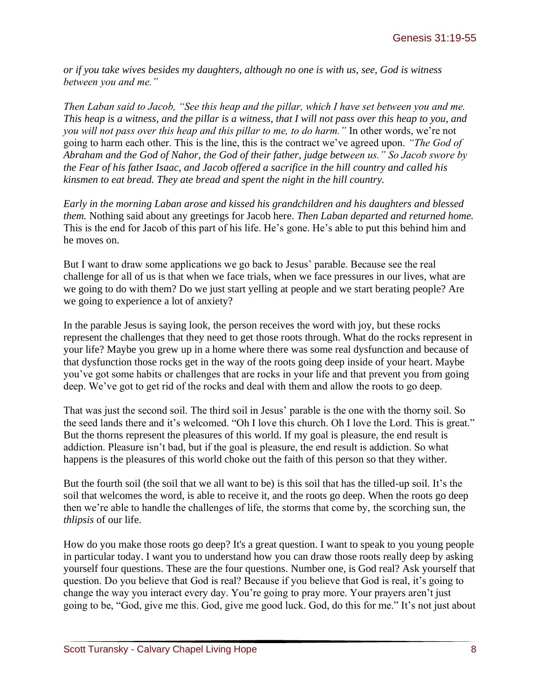*or if you take wives besides my daughters, although no one is with us, see, God is witness between you and me."* 

*Then Laban said to Jacob, "See this heap and the pillar, which I have set between you and me. This heap is a witness, and the pillar is a witness, that I will not pass over this heap to you, and you will not pass over this heap and this pillar to me, to do harm."* In other words, we're not going to harm each other. This is the line, this is the contract we've agreed upon. *"The God of Abraham and the God of Nahor, the God of their father, judge between us." So Jacob swore by the Fear of his father Isaac, and Jacob offered a sacrifice in the hill country and called his kinsmen to eat bread. They ate bread and spent the night in the hill country.*

*Early in the morning Laban arose and kissed his grandchildren and his daughters and blessed them.* Nothing said about any greetings for Jacob here. *Then Laban departed and returned home.*  This is the end for Jacob of this part of his life. He's gone. He's able to put this behind him and he moves on.

But I want to draw some applications we go back to Jesus' parable. Because see the real challenge for all of us is that when we face trials, when we face pressures in our lives, what are we going to do with them? Do we just start yelling at people and we start berating people? Are we going to experience a lot of anxiety?

In the parable Jesus is saying look, the person receives the word with joy, but these rocks represent the challenges that they need to get those roots through. What do the rocks represent in your life? Maybe you grew up in a home where there was some real dysfunction and because of that dysfunction those rocks get in the way of the roots going deep inside of your heart. Maybe you've got some habits or challenges that are rocks in your life and that prevent you from going deep. We've got to get rid of the rocks and deal with them and allow the roots to go deep.

That was just the second soil. The third soil in Jesus' parable is the one with the thorny soil. So the seed lands there and it's welcomed. "Oh I love this church. Oh I love the Lord. This is great." But the thorns represent the pleasures of this world. If my goal is pleasure, the end result is addiction. Pleasure isn't bad, but if the goal is pleasure, the end result is addiction. So what happens is the pleasures of this world choke out the faith of this person so that they wither.

But the fourth soil (the soil that we all want to be) is this soil that has the tilled-up soil. It's the soil that welcomes the word, is able to receive it, and the roots go deep. When the roots go deep then we're able to handle the challenges of life, the storms that come by, the scorching sun, the *thlipsis* of our life.

How do you make those roots go deep? It's a great question. I want to speak to you young people in particular today. I want you to understand how you can draw those roots really deep by asking yourself four questions. These are the four questions. Number one, is God real? Ask yourself that question. Do you believe that God is real? Because if you believe that God is real, it's going to change the way you interact every day. You're going to pray more. Your prayers aren't just going to be, "God, give me this. God, give me good luck. God, do this for me." It's not just about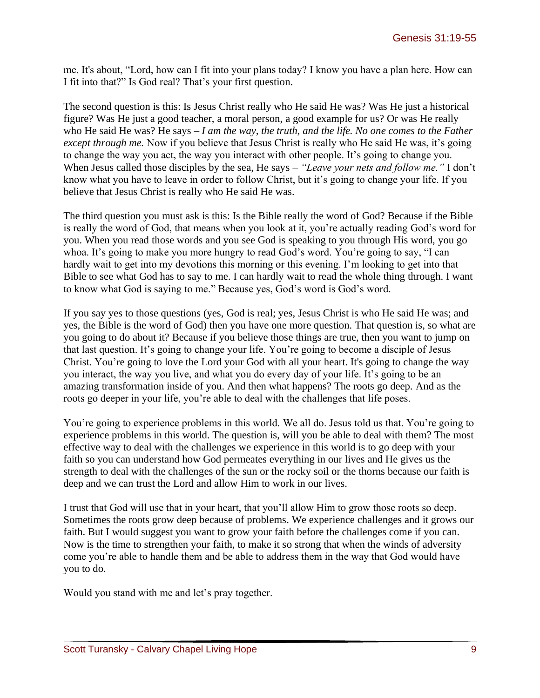me. It's about, "Lord, how can I fit into your plans today? I know you have a plan here. How can I fit into that?" Is God real? That's your first question.

The second question is this: Is Jesus Christ really who He said He was? Was He just a historical figure? Was He just a good teacher, a moral person, a good example for us? Or was He really who He said He was? He says – *I am the way, the truth, and the life. No one comes to the Father except through me.* Now if you believe that Jesus Christ is really who He said He was, it's going to change the way you act, the way you interact with other people. It's going to change you. When Jesus called those disciples by the sea, He says – *"Leave your nets and follow me."* I don't know what you have to leave in order to follow Christ, but it's going to change your life. If you believe that Jesus Christ is really who He said He was.

The third question you must ask is this: Is the Bible really the word of God? Because if the Bible is really the word of God, that means when you look at it, you're actually reading God's word for you. When you read those words and you see God is speaking to you through His word, you go whoa. It's going to make you more hungry to read God's word. You're going to say, "I can hardly wait to get into my devotions this morning or this evening. I'm looking to get into that Bible to see what God has to say to me. I can hardly wait to read the whole thing through. I want to know what God is saying to me." Because yes, God's word is God's word.

If you say yes to those questions (yes, God is real; yes, Jesus Christ is who He said He was; and yes, the Bible is the word of God) then you have one more question. That question is, so what are you going to do about it? Because if you believe those things are true, then you want to jump on that last question. It's going to change your life. You're going to become a disciple of Jesus Christ. You're going to love the Lord your God with all your heart. It's going to change the way you interact, the way you live, and what you do every day of your life. It's going to be an amazing transformation inside of you. And then what happens? The roots go deep. And as the roots go deeper in your life, you're able to deal with the challenges that life poses.

You're going to experience problems in this world. We all do. Jesus told us that. You're going to experience problems in this world. The question is, will you be able to deal with them? The most effective way to deal with the challenges we experience in this world is to go deep with your faith so you can understand how God permeates everything in our lives and He gives us the strength to deal with the challenges of the sun or the rocky soil or the thorns because our faith is deep and we can trust the Lord and allow Him to work in our lives.

I trust that God will use that in your heart, that you'll allow Him to grow those roots so deep. Sometimes the roots grow deep because of problems. We experience challenges and it grows our faith. But I would suggest you want to grow your faith before the challenges come if you can. Now is the time to strengthen your faith, to make it so strong that when the winds of adversity come you're able to handle them and be able to address them in the way that God would have you to do.

Would you stand with me and let's pray together.